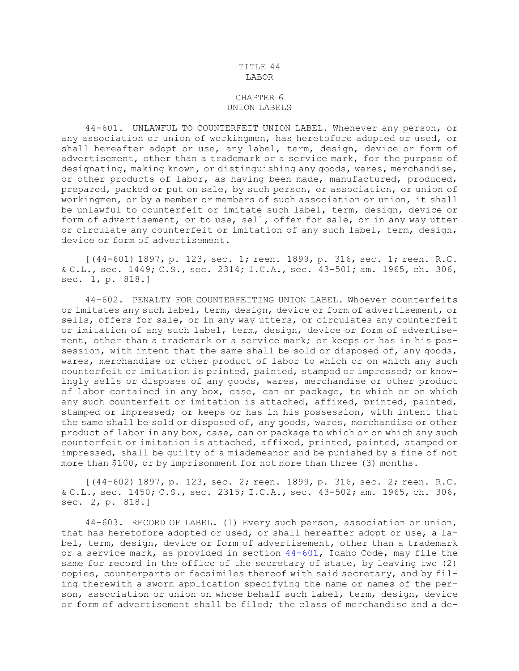## TITLE 44 LABOR

## CHAPTER 6 UNION LABELS

44-601. UNLAWFUL TO COUNTERFEIT UNION LABEL. Whenever any person, or any association or union of workingmen, has heretofore adopted or used, or shall hereafter adopt or use, any label, term, design, device or form of advertisement, other than <sup>a</sup> trademark or <sup>a</sup> service mark, for the purpose of designating, making known, or distinguishing any goods, wares, merchandise, or other products of labor, as having been made, manufactured, produced, prepared, packed or put on sale, by such person, or association, or union of workingmen, or by <sup>a</sup> member or members of such association or union, it shall be unlawful to counterfeit or imitate such label, term, design, device or form of advertisement, or to use, sell, offer for sale, or in any way utter or circulate any counterfeit or imitation of any such label, term, design, device or form of advertisement.

[(44-601) 1897, p. 123, sec. 1; reen. 1899, p. 316, sec. 1; reen. R.C. & C.L., sec. 1449; C.S., sec. 2314; I.C.A., sec. 43-501; am. 1965, ch. 306, sec. 1, p. 818.]

44-602. PENALTY FOR COUNTERFEITING UNION LABEL. Whoever counterfeits or imitates any such label, term, design, device or form of advertisement, or sells, offers for sale, or in any way utters, or circulates any counterfeit or imitation of any such label, term, design, device or form of advertisement, other than <sup>a</sup> trademark or <sup>a</sup> service mark; or keeps or has in his possession, with intent that the same shall be sold or disposed of, any goods, wares, merchandise or other product of labor to which or on which any such counterfeit or imitation is printed, painted, stamped or impressed; or knowingly sells or disposes of any goods, wares, merchandise or other product of labor contained in any box, case, can or package, to which or on which any such counterfeit or imitation is attached, affixed, printed, painted, stamped or impressed; or keeps or has in his possession, with intent that the same shall be sold or disposed of, any goods, wares, merchandise or other product of labor in any box, case, can or package to which or on which any such counterfeit or imitation is attached, affixed, printed, painted, stamped or impressed, shall be guilty of <sup>a</sup> misdemeanor and be punished by <sup>a</sup> fine of not more than \$100, or by imprisonment for not more than three (3) months.

[(44-602) 1897, p. 123, sec. 2; reen. 1899, p. 316, sec. 2; reen. R.C. & C.L., sec. 1450; C.S., sec. 2315; I.C.A., sec. 43-502; am. 1965, ch. 306, sec. 2, p. 818.]

44-603. RECORD OF LABEL. (1) Every such person, association or union, that has heretofore adopted or used, or shall hereafter adopt or use, <sup>a</sup> label, term, design, device or form of advertisement, other than <sup>a</sup> trademark or <sup>a</sup> service mark, as provided in section [44-601](https://legislature.idaho.gov/statutesrules/idstat/Title44/T44CH6/SECT44-601), Idaho Code, may file the same for record in the office of the secretary of state, by leaving two (2) copies, counterparts or facsimiles thereof with said secretary, and by filing therewith <sup>a</sup> sworn application specifying the name or names of the person, association or union on whose behalf such label, term, design, device or form of advertisement shall be filed; the class of merchandise and <sup>a</sup> de-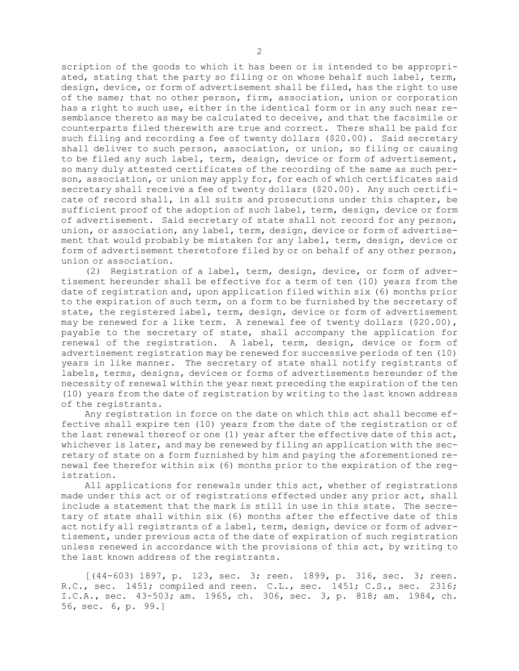scription of the goods to which it has been or is intended to be appropriated, stating that the party so filing or on whose behalf such label, term, design, device, or form of advertisement shall be filed, has the right to use of the same; that no other person, firm, association, union or corporation has <sup>a</sup> right to such use, either in the identical form or in any such near resemblance thereto as may be calculated to deceive, and that the facsimile or counterparts filed therewith are true and correct. There shall be paid for such filing and recording <sup>a</sup> fee of twenty dollars (\$20.00). Said secretary shall deliver to such person, association, or union, so filing or causing to be filed any such label, term, design, device or form of advertisement, so many duly attested certificates of the recording of the same as such person, association, or union may apply for, for each of which certificates said secretary shall receive <sup>a</sup> fee of twenty dollars (\$20.00). Any such certificate of record shall, in all suits and prosecutions under this chapter, be sufficient proof of the adoption of such label, term, design, device or form of advertisement. Said secretary of state shall not record for any person, union, or association, any label, term, design, device or form of advertisement that would probably be mistaken for any label, term, design, device or form of advertisement theretofore filed by or on behalf of any other person, union or association.

(2) Registration of <sup>a</sup> label, term, design, device, or form of advertisement hereunder shall be effective for <sup>a</sup> term of ten (10) years from the date of registration and, upon application filed within six (6) months prior to the expiration of such term, on <sup>a</sup> form to be furnished by the secretary of state, the registered label, term, design, device or form of advertisement may be renewed for <sup>a</sup> like term. <sup>A</sup> renewal fee of twenty dollars (\$20.00), payable to the secretary of state, shall accompany the application for renewal of the registration. <sup>A</sup> label, term, design, device or form of advertisement registration may be renewed for successive periods of ten (10) years in like manner. The secretary of state shall notify registrants of labels, terms, designs, devices or forms of advertisements hereunder of the necessity of renewal within the year next preceding the expiration of the ten (10) years from the date of registration by writing to the last known address of the registrants.

Any registration in force on the date on which this act shall become effective shall expire ten (10) years from the date of the registration or of the last renewal thereof or one (1) year after the effective date of this act, whichever is later, and may be renewed by filing an application with the secretary of state on <sup>a</sup> form furnished by him and paying the aforementioned renewal fee therefor within six (6) months prior to the expiration of the registration.

All applications for renewals under this act, whether of registrations made under this act or of registrations effected under any prior act, shall include <sup>a</sup> statement that the mark is still in use in this state. The secretary of state shall within six (6) months after the effective date of this act notify all registrants of <sup>a</sup> label, term, design, device or form of advertisement, under previous acts of the date of expiration of such registration unless renewed in accordance with the provisions of this act, by writing to the last known address of the registrants.

[(44-603) 1897, p. 123, sec. 3; reen. 1899, p. 316, sec. 3; reen. R.C., sec. 1451; compiled and reen. C.L., sec. 1451; C.S., sec. 2316; I.C.A., sec. 43-503; am. 1965, ch. 306, sec. 3, p. 818; am. 1984, ch. 56, sec. 6, p. 99.]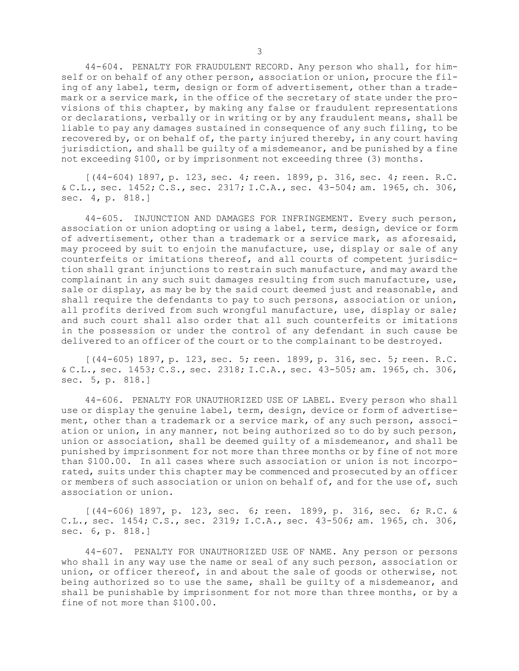44-604. PENALTY FOR FRAUDULENT RECORD. Any person who shall, for himself or on behalf of any other person, association or union, procure the filing of any label, term, design or form of advertisement, other than <sup>a</sup> trademark or <sup>a</sup> service mark, in the office of the secretary of state under the provisions of this chapter, by making any false or fraudulent representations or declarations, verbally or in writing or by any fraudulent means, shall be liable to pay any damages sustained in consequence of any such filing, to be recovered by, or on behalf of, the party injured thereby, in any court having jurisdiction, and shall be guilty of <sup>a</sup> misdemeanor, and be punished by <sup>a</sup> fine not exceeding \$100, or by imprisonment not exceeding three (3) months.

[(44-604) 1897, p. 123, sec. 4; reen. 1899, p. 316, sec. 4; reen. R.C. & C.L., sec. 1452; C.S., sec. 2317; I.C.A., sec. 43-504; am. 1965, ch. 306, sec. 4, p. 818.]

44-605. INJUNCTION AND DAMAGES FOR INFRINGEMENT. Every such person, association or union adopting or using <sup>a</sup> label, term, design, device or form of advertisement, other than <sup>a</sup> trademark or <sup>a</sup> service mark, as aforesaid, may proceed by suit to enjoin the manufacture, use, display or sale of any counterfeits or imitations thereof, and all courts of competent jurisdiction shall grant injunctions to restrain such manufacture, and may award the complainant in any such suit damages resulting from such manufacture, use, sale or display, as may be by the said court deemed just and reasonable, and shall require the defendants to pay to such persons, association or union, all profits derived from such wrongful manufacture, use, display or sale; and such court shall also order that all such counterfeits or imitations in the possession or under the control of any defendant in such cause be delivered to an officer of the court or to the complainant to be destroyed.

[(44-605) 1897, p. 123, sec. 5; reen. 1899, p. 316, sec. 5; reen. R.C. & C.L., sec. 1453; C.S., sec. 2318; I.C.A., sec. 43-505; am. 1965, ch. 306, sec. 5, p. 818.]

44-606. PENALTY FOR UNAUTHORIZED USE OF LABEL. Every person who shall use or display the genuine label, term, design, device or form of advertisement, other than <sup>a</sup> trademark or <sup>a</sup> service mark, of any such person, association or union, in any manner, not being authorized so to do by such person, union or association, shall be deemed guilty of <sup>a</sup> misdemeanor, and shall be punished by imprisonment for not more than three months or by fine of not more than \$100.00. In all cases where such association or union is not incorporated, suits under this chapter may be commenced and prosecuted by an officer or members of such association or union on behalf of, and for the use of, such association or union.

[(44-606) 1897, p. 123, sec. 6; reen. 1899, p. 316, sec. 6; R.C. & C.L., sec. 1454; C.S., sec. 2319; I.C.A., sec. 43-506; am. 1965, ch. 306, sec. 6, p. 818.]

44-607. PENALTY FOR UNAUTHORIZED USE OF NAME. Any person or persons who shall in any way use the name or seal of any such person, association or union, or officer thereof, in and about the sale of goods or otherwise, not being authorized so to use the same, shall be guilty of <sup>a</sup> misdemeanor, and shall be punishable by imprisonment for not more than three months, or by <sup>a</sup> fine of not more than \$100.00.